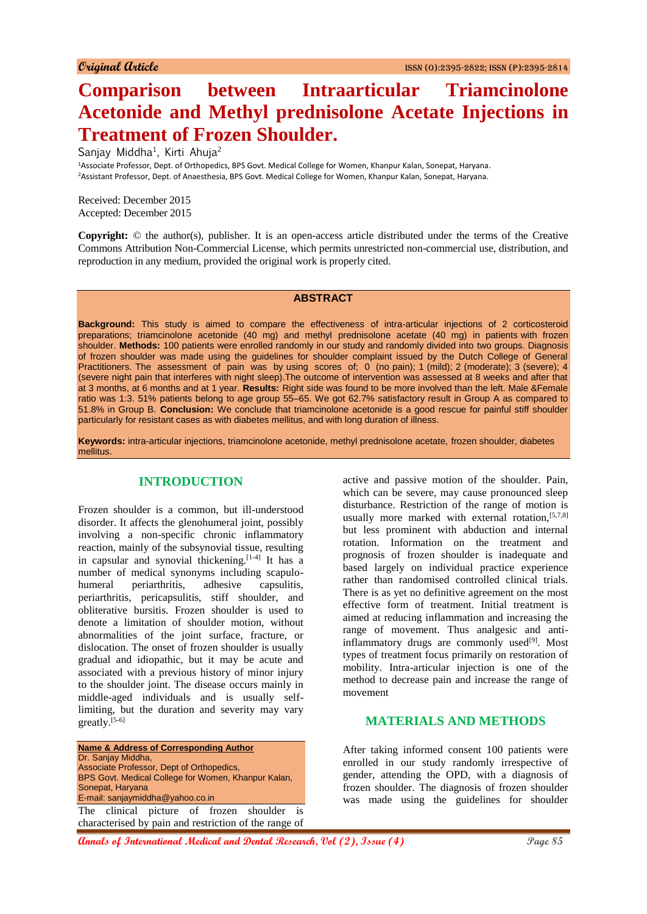# **Comparison between Intraarticular Triamcinolone Acetonide and Methyl prednisolone Acetate Injections in Treatment of Frozen Shoulder.**

Sanjay Middha<sup>1</sup>, Kirti Ahuja<sup>2</sup>

<sup>1</sup>Associate Professor, Dept. of Orthopedics, BPS Govt. Medical College for Women, Khanpur Kalan, Sonepat, Haryana. <sup>2</sup>Assistant Professor, Dept. of Anaesthesia, BPS Govt. Medical College for Women, Khanpur Kalan, Sonepat, Haryana.

Received: December 2015 Accepted: December 2015

**Copyright:** © the author(s), publisher. It is an open-access article distributed under the terms of the Creative Commons Attribution Non-Commercial License, which permits unrestricted non-commercial use, distribution, and reproduction in any medium, provided the original work is properly cited.

#### **ABSTRACT**

**Background:** This study is aimed to compare the effectiveness of intra-articular injections of 2 corticosteroid preparations; triamcinolone acetonide (40 mg) and methyl prednisolone acetate (40 mg) in patients with frozen shoulder. **Methods:** 100 patients were enrolled randomly in our study and randomly divided into two groups. Diagnosis of frozen shoulder was made using the guidelines for shoulder complaint issued by the Dutch College of General Practitioners. The assessment of pain was by using scores of; 0 (no pain); 1 (mild); 2 (moderate); 3 (severe); 4 (severe night pain that interferes with night sleep).The outcome of intervention was assessed at 8 weeks and after that at 3 months, at 6 months and at 1 year. **Results:** Right side was found to be more involved than the left. Male &Female ratio was 1:3. 51% patients belong to age group 55–65. We got 62.7% satisfactory result in Group A as compared to 51.8% in Group B. **Conclusion:** We conclude that triamcinolone acetonide is a good rescue for painful stiff shoulder particularly for resistant cases as with diabetes mellitus, and with long duration of illness.

**Keywords:** intra-articular injections, triamcinolone acetonide, methyl prednisolone acetate, frozen shoulder, diabetes mellitus.

### **INTRODUCTION**

Frozen shoulder is a common, but ill-understood disorder. It affects the glenohumeral joint, possibly involving a non-specific chronic inflammatory reaction, mainly of the subsynovial tissue, resulting in capsular and synovial thickening.<sup>[1-4]</sup> It has a number of medical synonyms including scapulohumeral periarthritis, adhesive capsulitis, periarthritis, pericapsulitis, stiff shoulder, and obliterative bursitis. Frozen shoulder is used to denote a limitation of shoulder motion, without abnormalities of the joint surface, fracture, or dislocation. The onset of frozen shoulder is usually gradual and idiopathic, but it may be acute and associated with a previous history of minor injury to the shoulder joint. The disease occurs mainly in middle-aged individuals and is usually selflimiting, but the duration and severity may vary greatly.[5-6]

**Name & Address of Corresponding Author** Dr. Sanjay Middha, Associate Professor, Dept of Orthopedics, BPS Govt. Medical College for Women, Khanpur Kalan, Sonepat, Haryana E-mail: sanjaymiddha@yahoo.co.in The clinical picture of frozen shoulder is characterised by pain and restriction of the range of active and passive motion of the shoulder. Pain, which can be severe, may cause pronounced sleep disturbance. Restriction of the range of motion is usually more marked with external rotation, [5,7,8] but less prominent with abduction and internal rotation. Information on the treatment and prognosis of frozen shoulder is inadequate and based largely on individual practice experience rather than randomised controlled clinical trials. There is as yet no definitive agreement on the most effective form of treatment. Initial treatment is aimed at reducing inflammation and increasing the range of movement. Thus analgesic and antiinflammatory drugs are commonly used $[9]$ . Most types of treatment focus primarily on restoration of mobility. Intra-articular injection is one of the method to decrease pain and increase the range of movement

## **MATERIALS AND METHODS**

After taking informed consent 100 patients were enrolled in our study randomly irrespective of gender, attending the OPD, with a diagnosis of frozen shoulder. The diagnosis of frozen shoulder was made using the guidelines for shoulder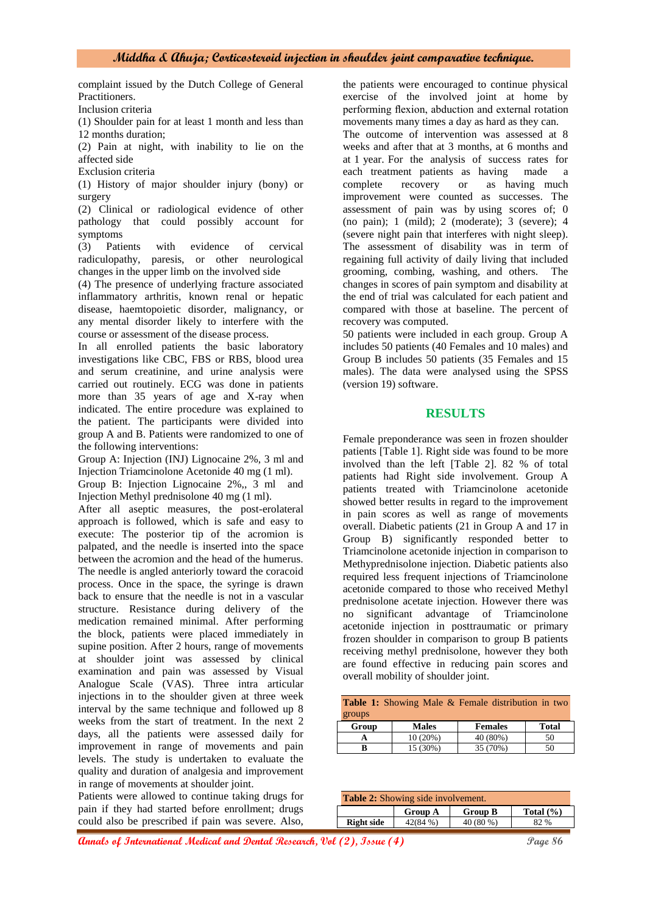complaint issued by the Dutch College of General Practitioners.

Inclusion criteria

(1) Shoulder pain for at least 1 month and less than 12 months duration;

(2) Pain at night, with inability to lie on the affected side

Exclusion criteria

(1) History of major shoulder injury (bony) or surgery

(2) Clinical or radiological evidence of other pathology that could possibly account for symptoms

(3) Patients with evidence of cervical radiculopathy, paresis, or other neurological changes in the upper limb on the involved side

(4) The presence of underlying fracture associated inflammatory arthritis, known renal or hepatic disease, haemtopoietic disorder, malignancy, or any mental disorder likely to interfere with the course or assessment of the disease process.

In all enrolled patients the basic laboratory investigations like CBC, FBS or RBS, blood urea and serum creatinine, and urine analysis were carried out routinely. ECG was done in patients more than 35 years of age and X-ray when indicated. The entire procedure was explained to the patient. The participants were divided into group A and B. Patients were randomized to one of the following interventions:

Group A: Injection (INJ) Lignocaine 2%, 3 ml and Injection Triamcinolone Acetonide 40 mg (1 ml).

Group B: Injection Lignocaine 2%,, 3 ml and Injection Methyl prednisolone 40 mg (1 ml).

After all aseptic measures, the post-erolateral approach is followed, which is safe and easy to execute: The posterior tip of the acromion is palpated, and the needle is inserted into the space between the acromion and the head of the humerus. The needle is angled anteriorly toward the coracoid process. Once in the space, the syringe is drawn back to ensure that the needle is not in a vascular structure. Resistance during delivery of the medication remained minimal. After performing the block, patients were placed immediately in supine position. After 2 hours, range of movements at shoulder joint was assessed by clinical examination and pain was assessed by Visual Analogue Scale (VAS). Three intra articular injections in to the shoulder given at three week interval by the same technique and followed up 8 weeks from the start of treatment. In the next 2 days, all the patients were assessed daily for improvement in range of movements and pain levels. The study is undertaken to evaluate the quality and duration of analgesia and improvement in range of movements at shoulder joint.

Patients were allowed to continue taking drugs for pain if they had started before enrollment; drugs could also be prescribed if pain was severe. Also,

the patients were encouraged to continue physical exercise of the involved joint at home by performing flexion, abduction and external rotation movements many times a day as hard as they can.

The outcome of intervention was assessed at 8 weeks and after that at 3 months, at 6 months and at 1 year. For the analysis of success rates for each treatment patients as having made a complete recovery or as having much improvement were counted as successes. The assessment of pain was by using scores of; 0 (no pain); 1 (mild); 2 (moderate); 3 (severe); 4 (severe night pain that interferes with night sleep). The assessment of disability was in term of regaining full activity of daily living that included grooming, combing, washing, and others. The changes in scores of pain symptom and disability at the end of trial was calculated for each patient and compared with those at baseline. The percent of recovery was computed.

50 patients were included in each group. Group A includes 50 patients (40 Females and 10 males) and Group B includes 50 patients (35 Females and 15 males). The data were analysed using the SPSS (version 19) software.

#### **RESULTS**

Female preponderance was seen in frozen shoulder patients [Table 1]. Right side was found to be more involved than the left [Table 2]. 82 % of total patients had Right side involvement. Group A patients treated with Triamcinolone acetonide showed better results in regard to the improvement in pain scores as well as range of movements overall. Diabetic patients (21 in Group A and 17 in Group B) significantly responded better to Triamcinolone acetonide injection in comparison to Methyprednisolone injection. Diabetic patients also required less frequent injections of Triamcinolone acetonide compared to those who received Methyl prednisolone acetate injection. However there was no significant advantage of Triamcinolone acetonide injection in posttraumatic or primary frozen shoulder in comparison to group B patients receiving methyl prednisolone, however they both are found effective in reducing pain scores and overall mobility of shoulder joint.

|        |              | <b>Table 1:</b> Showing Male & Female distribution in two |       |
|--------|--------------|-----------------------------------------------------------|-------|
| groups |              |                                                           |       |
| Group  | <b>Males</b> | <b>Females</b>                                            | Total |
|        | $10(20\%)$   | 40 (80%)                                                  | 50    |
| R      | 15 (30%)     | 35 (70%)                                                  | 50    |

| <b>Table 2:</b> Showing side involvement. |                |                |               |
|-------------------------------------------|----------------|----------------|---------------|
|                                           | <b>Group A</b> | <b>Group B</b> | Total $(\% )$ |
| <b>Right side</b>                         | 42(84%)        | 40 (80 %)      | 82.%          |

**Annals of International Medical and Dental Research, Vol (2), Issue (4) Page 86**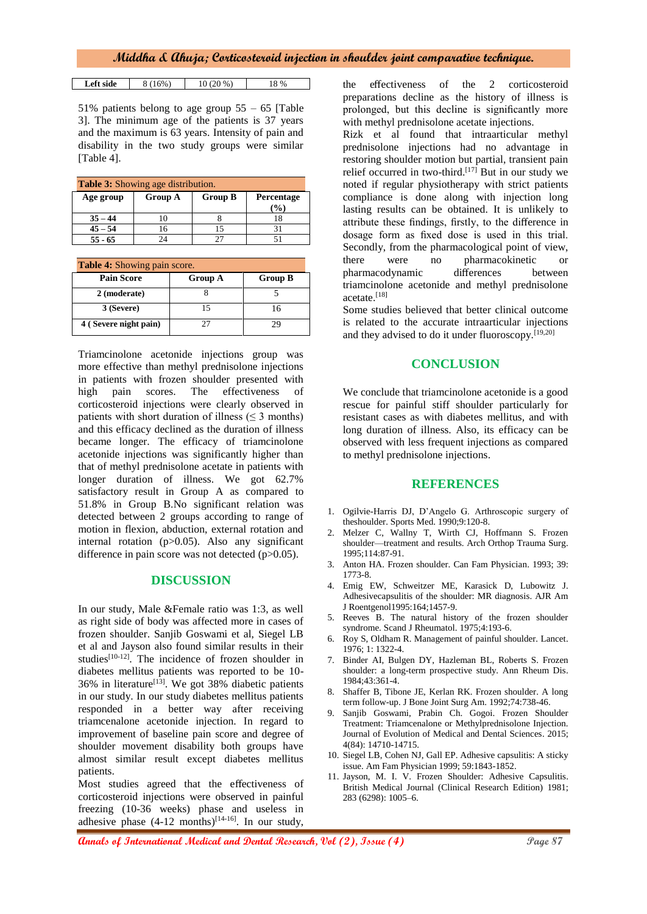#### **Middha & Ahuja; Corticosteroid injection in shoulder joint comparative technique.**

| Left side | 16% | 20 % | %<br>⊥ ∪ |
|-----------|-----|------|----------|

51% patients belong to age group  $55 - 65$  [Table 3]. The minimum age of the patients is 37 years and the maximum is 63 years. Intensity of pain and disability in the two study groups were similar [Table 4].

| <b>Table 3:</b> Showing age distribution. |                |                |                             |
|-------------------------------------------|----------------|----------------|-----------------------------|
| Age group                                 | <b>Group A</b> | <b>Group B</b> | <b>Percentage</b><br>$($ %) |
| $35 - 44$                                 |                |                |                             |
| $45 - 54$                                 | 16             | 15             | ς                           |
| $55 - 65$                                 | 7Δ             |                |                             |

| <b>Table 4:</b> Showing pain score. |                |                |  |
|-------------------------------------|----------------|----------------|--|
| <b>Pain Score</b>                   | <b>Group A</b> | <b>Group B</b> |  |
| 2 (moderate)                        |                |                |  |
| 3 (Severe)                          | 15             | 16             |  |
| 4 (Severe night pain)               | 27             | 79             |  |

Triamcinolone acetonide injections group was more effective than methyl prednisolone injections in patients with frozen shoulder presented with high pain scores. The effectiveness of corticosteroid injections were clearly observed in patients with short duration of illness ( $\leq$  3 months) and this efficacy declined as the duration of illness became longer. The efficacy of triamcinolone acetonide injections was significantly higher than that of methyl prednisolone acetate in patients with longer duration of illness. We got 62.7% satisfactory result in Group A as compared to 51.8% in Group B.No significant relation was detected between 2 groups according to range of motion in flexion, abduction, external rotation and internal rotation (p>0.05). Also any significant difference in pain score was not detected (p>0.05).

#### **DISCUSSION**

In our study, Male &Female ratio was 1:3, as well as right side of body was affected more in cases of frozen shoulder. Sanjib Goswami et al, Siegel LB et al and Jayson also found similar results in their studies<sup>[10-12]</sup>. The incidence of frozen shoulder in diabetes mellitus patients was reported to be 10- 36% in literature<sup>[13]</sup>. We got 38% diabetic patients in our study. In our study diabetes mellitus patients responded in a better way after receiving triamcenalone acetonide injection. In regard to improvement of baseline pain score and degree of shoulder movement disability both groups have almost similar result except diabetes mellitus patients.

Most studies agreed that the effectiveness of corticosteroid injections were observed in painful freezing (10-36 weeks) phase and useless in adhesive phase  $(4-12 \text{ months})^{[14-16]}$ . In our study,

the effectiveness of the 2 corticosteroid preparations decline as the history of illness is prolonged, but this decline is significantly more with methyl prednisolone acetate injections.

Rizk et al found that intraarticular methyl prednisolone injections had no advantage in restoring shoulder motion but partial, transient pain relief occurred in two-third.<sup>[17]</sup> But in our study we noted if regular physiotherapy with strict patients compliance is done along with injection long lasting results can be obtained. It is unlikely to attribute these findings, firstly, to the difference in dosage form as fixed dose is used in this trial. Secondly, from the pharmacological point of view, there were no pharmacokinetic or pharmacodynamic differences between triamcinolone acetonide and methyl prednisolone acetate.<sup>[18]</sup>

Some studies believed that better clinical outcome is related to the accurate intraarticular injections and they advised to do it under fluoroscopy.<sup>[19,20]</sup>

#### **CONCLUSION**

We conclude that triamcinolone acetonide is a good rescue for painful stiff shoulder particularly for resistant cases as with diabetes mellitus, and with long duration of illness. Also, its efficacy can be observed with less frequent injections as compared to methyl prednisolone injections.

#### **REFERENCES**

- 1. Ogilvie-Harris DJ, D'Angelo G. Arthroscopic surgery of theshoulder. Sports Med. 1990;9:120-8.
- 2. Melzer C, Wallny T, Wirth CJ, Hoffmann S. Frozen shoulder—treatment and results. Arch Orthop Trauma Surg. 1995;114:87-91.
- 3. Anton HA. Frozen shoulder. Can Fam Physician. 1993; 39: 1773-8.
- 4. Emig EW, Schweitzer ME, Karasick D, Lubowitz J. Adhesivecapsulitis of the shoulder: MR diagnosis. AJR Am J Roentgenol1995:164;1457-9.
- 5. Reeves B. The natural history of the frozen shoulder syndrome. Scand J Rheumatol. 1975;4:193-6.
- 6. Roy S, Oldham R. Management of painful shoulder. Lancet. 1976; 1: 1322-4.
- 7. Binder AI, Bulgen DY, Hazleman BL, Roberts S. Frozen shoulder: a long-term prospective study. Ann Rheum Dis. 1984;43:361-4.
- 8. Shaffer B, Tibone JE, Kerlan RK. Frozen shoulder. A long term follow-up. J Bone Joint Surg Am. 1992;74:738-46.
- 9. Sanjib Goswami, Prabin Ch. Gogoi. Frozen Shoulder Treatment: Triamcenalone or Methylprednisolone Injection. Journal of Evolution of Medical and Dental Sciences. 2015; 4(84): 14710-14715.
- 10. Siegel LB, Cohen NJ, Gall EP. Adhesive capsulitis: A sticky issue. Am Fam Physician 1999; 59:1843-1852.
- 11. Jayson, M. I. V. Frozen Shoulder: Adhesive Capsulitis. British Medical Journal (Clinical Research Edition) 1981; 283 (6298): 1005–6.

**Annals of International Medical and Dental Research, Vol (2), Issue (4)** Page 87